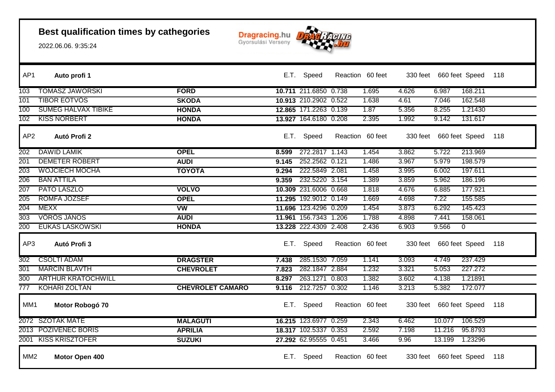

| AP1             | Auto profi 1               |                         |       | E.T. Speed            | Reaction 60 feet |       |       |                         | 330 feet 660 feet Speed | 118 |
|-----------------|----------------------------|-------------------------|-------|-----------------------|------------------|-------|-------|-------------------------|-------------------------|-----|
| 103             | <b>TOMASZ JAWORSKI</b>     | <b>FORD</b>             |       | 10.711 211.6850 0.738 |                  | 1.695 | 4.626 | 6.987                   | 168.211                 |     |
| 101             | <b>TIBOR EOTVOS</b>        | <b>SKODA</b>            |       | 10.913 210.2902 0.522 |                  | 1.638 | 4.61  | 7.046                   | 162.548                 |     |
| 100             | <b>SUMEG HALVAX TIBIKE</b> | <b>HONDA</b>            |       | 12.865 171.2263 0.139 |                  | 1.87  | 5.356 | 8.255                   | 1.21430                 |     |
| 102             | <b>KISS NORBERT</b>        | <b>HONDA</b>            |       | 13.927 164.6180 0.208 |                  | 2.395 | 1.992 | 9.142                   | 131.617                 |     |
| AP <sub>2</sub> | Autó Profi 2               |                         |       | E.T. Speed            | Reaction 60 feet |       |       | 330 feet 660 feet Speed |                         | 118 |
| 202             | <b>DAWID LAMIK</b>         | <b>OPEL</b>             | 8.599 | 272.2817 1.143        |                  | 1.454 | 3.862 | 5.722                   | 213.969                 |     |
| 201             | <b>DEMETER ROBERT</b>      | <b>AUDI</b>             | 9.145 | 252.2562 0.121        |                  | 1.486 | 3.967 | 5.979                   | 198.579                 |     |
| 203             | <b>WOJCIECH MOCHA</b>      | <b>TOYOTA</b>           | 9.294 | 222.5849 2.081        |                  | 1.458 | 3.995 | 6.002                   | 197.611                 |     |
| 206             | <b>BAN ATTILA</b>          |                         | 9.359 | 232.5220 3.154        |                  | 1.389 | 3.859 | 5.962                   | 186.196                 |     |
| 207             | PATO LASZLO                | <b>VOLVO</b>            |       | 10.309 231.6006 0.668 |                  | 1.818 | 4.676 | 6.885                   | 177.921                 |     |
| 205             | ROMFA JOZSEF               | <b>OPEL</b>             |       | 11.295 192.9012 0.149 |                  | 1.669 | 4.698 | 7.22                    | 155.585                 |     |
| 204             | <b>MEXX</b>                | $\overline{\text{vw}}$  |       | 11.696 123.4296 0.209 |                  | 1.454 | 3.873 | 6.292                   | 145.423                 |     |
| 303             | <b>VOROS JANOS</b>         | <b>AUDI</b>             |       | 11.961 156.7343 1.206 |                  | 1.788 | 4.898 | 7.441                   | 158.061                 |     |
| 200             | <b>EUKAS LASKOWSKI</b>     | <b>HONDA</b>            |       | 13.228 222.4309 2.408 |                  | 2.436 | 6.903 | 9.566                   | $\overline{0}$          |     |
| AP3             | Autó Profi 3               |                         | E.T.  | Speed                 | Reaction 60 feet |       |       | 330 feet 660 feet Speed |                         | 118 |
| 302             | <b>CSOLTI ADAM</b>         | <b>DRAGSTER</b>         | 7.438 | 285.1530 7.059        |                  | 1.141 | 3.093 | 4.749                   | 237.429                 |     |
| 301             | <b>MARCIN BLAVTH</b>       | <b>CHEVROLET</b>        | 7.823 | 282.1847 2.884        |                  | 1.232 | 3.321 | 5.053                   | 227.272                 |     |
| 300             | <b>ARTHUR KRATOCHWILL</b>  |                         | 8.297 | 263.1271 0.803        |                  | 1.382 | 3.602 | 4.138                   | 1.21891                 |     |
| 777             | <b>KOHARI ZOLTAN</b>       | <b>CHEVROLET CAMARO</b> | 9.116 | 212.7257 0.302        |                  | 1.146 | 3.213 | 5.382                   | 172.077                 |     |
| MM1             | Motor Robogó 70            |                         |       | E.T. Speed            | Reaction 60 feet |       |       | 330 feet 660 feet Speed |                         | 118 |
|                 | 2072 SZOTAK MATE           | <b>MALAGUTI</b>         |       | 16.215 123.6977 0.259 |                  | 2.343 | 6.462 | 10.077                  | 106.529                 |     |
|                 | 2013 POZIVENEC BORIS       | <b>APRILIA</b>          |       | 18.317 102.5337 0.353 |                  | 2.592 | 7.198 | 11.216                  | 95.8793                 |     |
|                 | 2001 KISS KRISZTOFER       | <b>SUZUKI</b>           |       | 27.292 62.95555 0.451 |                  | 3.466 | 9.96  | 13.199                  | 1.23296                 |     |
| MM <sub>2</sub> | Motor Open 400             |                         |       | E.T. Speed            | Reaction 60 feet |       |       | 330 feet 660 feet Speed |                         | 118 |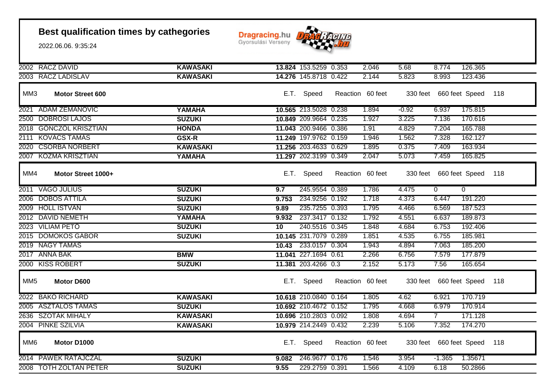**Dragracing.hu** 



| 2002 RACZ DAVID                | <b>KAWASAKI</b> |       | 13.824 153.5259 0.353 | 2.046            | 5.68    | 8.774                       | 126.365        |     |
|--------------------------------|-----------------|-------|-----------------------|------------------|---------|-----------------------------|----------------|-----|
| 2003 RACZ LADISLAV             | <b>KAWASAKI</b> |       | 14.276 145.8718 0.422 | 2.144            | 5.823   | 8.993                       | 123.436        |     |
| MM3<br><b>Motor Street 600</b> |                 |       | E.T. Speed            | Reaction 60 feet |         | 330 feet 660 feet Speed     |                | 118 |
| 2021 ADAM ZEMANOVIC            | YAMAHA          |       | 10.565 213.5028 0.238 | 1.894            | $-0.92$ | 6.937                       | 175.815        |     |
| 2500 DOBROSI LAJOS             | <b>SUZUKI</b>   |       | 10.849 209.9664 0.235 | 1.927            | 3.225   | 7.136                       | 170.616        |     |
| 2018 GONCZOL KRISZTIAN         | <b>HONDA</b>    |       | 11.043 200.9466 0.386 | 1.91             | 4.829   | 7.204                       | 165.788        |     |
| 2111 KOVÁCS TAMÁS              | <b>GSX-R</b>    |       | 11.249 197.9762 0.159 | 1.946            | 1.562   | 7.328                       | 162.127        |     |
| 2020 CSORBA NORBERT            | <b>KAWASAKI</b> |       | 11.256 203.4633 0.629 | 1.895            | 0.375   | 7.409                       | 163.934        |     |
| 2007 KOZMA KRISZTIAN           | YAMAHA          |       | 11.297 202.3199 0.349 | 2.047            | 5.073   | 7.459                       | 165.825        |     |
| MM4<br>Motor Street 1000+      |                 |       | E.T. Speed            | Reaction 60 feet |         | 330 feet 660 feet Speed     |                | 118 |
| 2011 VAGO JULIUS               | <b>SUZUKI</b>   | 9.7   | 245.9554 0.389        | 1.786            | 4.475   | $\overline{0}$              | $\overline{0}$ |     |
| 2006 DOBOS ATTILA              | <b>SUZUKI</b>   | 9.753 | 234.9256 0.192        | 1.718            | 4.373   | 6.447                       | 191.220        |     |
| 2009 HOLL ISTVAN               | <b>SUZUKI</b>   | 9.89  | 235.7255 0.393        | 1.795            | 4.466   | 6.569                       | 187.523        |     |
| 2012 DAVID NEMETH              | YAMAHA          | 9.932 | 237.3417 0.132        | 1.792            | 4.551   | 6.637                       | 189.873        |     |
| 2023 VILIAM PETO               | <b>SUZUKI</b>   | 10    | 240.5516 0.345        | 1.848            | 4.684   | 6.753                       | 192.406        |     |
| 2015 DOMOKOS GABOR             | <b>SUZUKI</b>   |       | 10.145 231.7079 0.289 | 1.851            | 4.535   | 6.755                       | 185.981        |     |
| 2019 NAGY TAMAS                |                 |       | 10.43 233.0157 0.304  | 1.943            | 4.894   | 7.063                       | 185.200        |     |
| 2017 ANNA BAK                  | <b>BMW</b>      |       | 11.041 227.1694 0.61  | 2.266            | 6.756   | 7.579                       | 177.879        |     |
| 2000 KISS ROBERT               | <b>SUZUKI</b>   |       | 11.381 203.4266 0.3   | 2.152            | 5.173   | 7.56                        | 165.654        |     |
| MM <sub>5</sub><br>Motor D600  |                 |       | E.T. Speed            | Reaction 60 feet |         | 330 feet 660 feet Speed     |                | 118 |
| 2022 BAKO RICHARD              | <b>KAWASAKI</b> |       | 10.618 210.0840 0.164 | 1.805            | 4.62    | 6.921                       | 170.719        |     |
| 2005 ASZTALOS TAMAS            | <b>SUZUKI</b>   |       | 10.692 210.4672 0.152 | 1.795            | 4.668   | 6.979                       | 170.914        |     |
| 2636 SZOTAK MIHALY             | <b>KAWASAKI</b> |       | 10.696 210.2803 0.092 | 1.808            | 4.694   | $\overline{7}$              | 171.128        |     |
| 2004 PINKE SZILVIA             | <b>KAWASAKI</b> |       | 10.979 214.2449 0.432 | 2.239            | 5.106   | 7.352                       | 174.270        |     |
| MM <sub>6</sub><br>Motor D1000 |                 |       | E.T. Speed            | Reaction 60 feet |         | 330 feet 660 feet Speed 118 |                |     |
| 2014 PAWEK RATAJCZAL           | <b>SUZUKI</b>   |       | 9.082 246.9677 0.176  | 1.546            | 3.954   | $-1.365$                    | 1.35671        |     |
| 2008 TOTH ZOLTAN PETER         | <b>SUZUKI</b>   | 9.55  | 229.2759 0.391        | 1.566            | 4.109   | 6.18                        | 50.2866        |     |
|                                |                 |       |                       |                  |         |                             |                |     |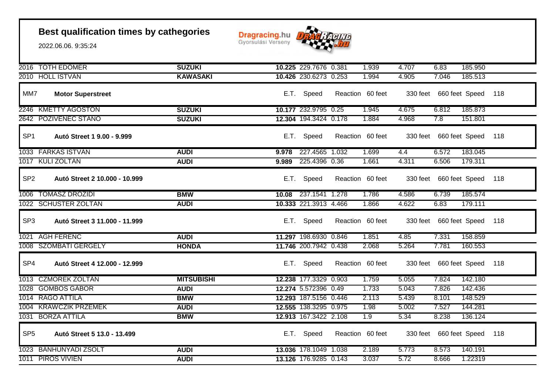

|                 | 2016 TOTH EDOMER              | <b>SUZUKI</b>     |       | 10.225 229.7676 0.381 | 1.939            | 4.707 | 6.83                        | 185.950 |     |
|-----------------|-------------------------------|-------------------|-------|-----------------------|------------------|-------|-----------------------------|---------|-----|
|                 | 2010 HOLL ISTVAN              | <b>KAWASAKI</b>   |       | 10.426 230.6273 0.253 | 1.994            | 4.905 | 7.046                       | 185.513 |     |
| MM7             | <b>Motor Superstreet</b>      |                   |       | E.T. Speed            | Reaction 60 feet |       | 330 feet 660 feet Speed     |         | 118 |
|                 | 2246 KMETTY AGOSTON           | <b>SUZUKI</b>     |       | 10.177 232.9795 0.25  | 1.945            | 4.675 | 6.812                       | 185.873 |     |
|                 | 2642 POZIVENEC STANO          | <b>SUZUKI</b>     |       | 12.304 194.3424 0.178 | 1.884            | 4.968 | 7.8                         | 151.801 |     |
| SP <sub>1</sub> | Autó Street 1 9.00 - 9.999    |                   |       | E.T. Speed            | Reaction 60 feet |       | 330 feet 660 feet Speed     |         | 118 |
|                 | 1033 FARKAS ISTVAN            | <b>AUDI</b>       | 9.978 | 227.4565 1.032        | 1.699            | 4.4   | 6.572                       | 183.045 |     |
|                 | 1017 KULI ZOLTÁN              | <b>AUDI</b>       | 9.989 | 225.4396 0.36         | 1.661            | 4.311 | 6.506                       | 179.311 |     |
| SP <sub>2</sub> | Autó Street 2 10.000 - 10.999 |                   |       | E.T. Speed            | Reaction 60 feet |       | 330 feet 660 feet Speed     |         | 118 |
|                 | 1006 TOMASZ DROZIDI           | <b>BMW</b>        |       | 10.08 237.1541 1.278  | 1.786            | 4.586 | 6.739                       | 185.574 |     |
|                 | 1022 SCHUSTER ZOLTAN          | <b>AUDI</b>       |       | 10.333 221.3913 4.466 | 1.866            | 4.622 | 6.83                        | 179.111 |     |
| SP <sub>3</sub> | Autó Street 3 11.000 - 11.999 |                   |       | E.T. Speed            | Reaction 60 feet |       | 330 feet 660 feet Speed 118 |         |     |
|                 | 1021 AGH FERENC               | <b>AUDI</b>       |       | 11.297 198.6930 0.846 | 1.851            | 4.85  | 7.331                       | 158.859 |     |
|                 | 1008 SZOMBATI GERGELY         | <b>HONDA</b>      |       | 11.746 200.7942 0.438 | 2.068            | 5.264 | 7.781                       | 160.553 |     |
| SP4             | Autó Street 4 12.000 - 12.999 |                   |       | E.T. Speed            | Reaction 60 feet |       | 330 feet 660 feet Speed 118 |         |     |
|                 | 1013 CZMOREK ZOLTAN           | <b>MITSUBISHI</b> |       | 12.238 177.3329 0.903 | 1.759            | 5.055 | 7.824                       | 142.180 |     |
|                 | 1028 GOMBOS GABOR             | <b>AUDI</b>       |       | 12.274 5.572396 0.49  | 1.733            | 5.043 | 7.826                       | 142.436 |     |
|                 | 1014 RAGO ATTILA              | <b>BMW</b>        |       | 12.293 187.5156 0.446 | 2.113            | 5.439 | 8.101                       | 148.529 |     |
|                 | 1004 KRAWCZIK PRZEMEK         | <b>AUDI</b>       |       | 12.555 138.3295 0.975 | 1.98             | 5.002 | 7.527                       | 144.281 |     |
|                 | 1031 BORZA ATTILA             | <b>BMW</b>        |       | 12.913 167.3422 2.108 | 1.9              | 5.34  | 8.238                       | 136.124 |     |
| SP <sub>5</sub> | Autó Street 5 13.0 - 13.499   |                   |       | E.T. Speed            | Reaction 60 feet |       | 330 feet 660 feet Speed     |         | 118 |
|                 | 1023 BÁNHUNYADI ZSOLT         | <b>AUDI</b>       |       | 13.036 178.1049 1.038 | 2.189            | 5.773 | 8.573                       | 140.191 |     |
|                 | 1011 PIROS VIVIEN             | <b>AUDI</b>       |       | 13.126 176.9285 0.143 | 3.037            | 5.72  | 8.666                       | 1.22319 |     |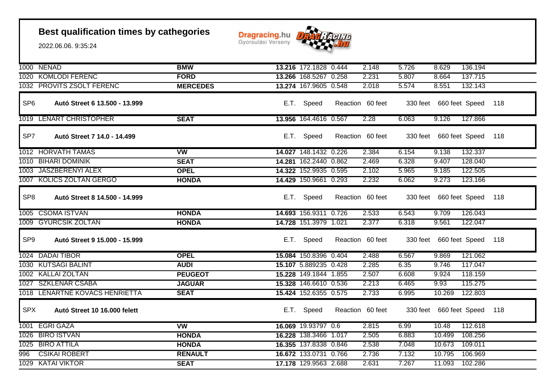

|                 | 1000 NENAD                     | <b>BMW</b>             | 13.216 172.1828 0.444 | 2.148            | 5.726 | 8.629                       | 136.194 |     |
|-----------------|--------------------------------|------------------------|-----------------------|------------------|-------|-----------------------------|---------|-----|
|                 | 1020 KOMLODI FERENC            | <b>FORD</b>            | 13.266 168.5267 0.258 | 2.231            | 5.807 | 8.664                       | 137.715 |     |
|                 | 1032 PROVITS ZSOLT FERENC      | <b>MERCEDES</b>        | 13.274 167.9605 0.548 | 2.018            | 5.574 | 8.551                       | 132.143 |     |
| SP <sub>6</sub> | Autó Street 6 13.500 - 13.999  |                        | E.T. Speed            | Reaction 60 feet |       | 330 feet 660 feet Speed     |         | 118 |
|                 | 1019 LENART CHRISTOPHER        | <b>SEAT</b>            | 13.956 164.4616 0.567 | 2.28             | 6.063 | 9.126                       | 127.866 |     |
| SP7             | Autó Street 7 14.0 - 14.499    |                        | E.T. Speed            | Reaction 60 feet |       | 330 feet 660 feet Speed     |         | 118 |
|                 | 1012 HORVATH TAMAS             | <b>VW</b>              | 14.027 148.1432 0.226 | 2.384            | 6.154 | 9.138                       | 132.337 |     |
|                 | 1010 BIHARI DOMINIK            | <b>SEAT</b>            | 14.281 162.2440 0.862 | 2.469            | 6.328 | 9.407                       | 128.040 |     |
|                 | 1003 JASZBERENYI ALEX          | <b>OPEL</b>            | 14.322 152.9935 0.595 | 2.102            | 5.965 | 9.185                       | 122.505 |     |
|                 | 1007 KOLICS ZOLTAN GERGÖ       | <b>HONDA</b>           | 14.429 150.9661 0.293 | 2.232            | 6.062 | 9.273                       | 123.166 |     |
| SP <sub>8</sub> | Autó Street 8 14.500 - 14.999  |                        | E.T. Speed            | Reaction 60 feet |       | 330 feet 660 feet Speed     |         | 118 |
|                 | 1005 CSOMA ISTVAN              | <b>HONDA</b>           | 14.693 156.9311 0.726 | 2.533            | 6.543 | 9.709                       | 126.043 |     |
|                 | 1009 GYURCSIK ZOLTAN           | <b>HONDA</b>           | 14.728 151.3979 1.021 | 2.377            | 6.318 | 9.561                       | 122.047 |     |
| SP <sub>9</sub> | Autó Street 9 15.000 - 15.999  |                        | E.T. Speed            | Reaction 60 feet |       | 330 feet 660 feet Speed     |         | 118 |
|                 | 1024 DADAI TIBOR               | <b>OPEL</b>            | 15.084 150.8396 0.404 | 2.488            | 6.567 | 9.869                       | 121.062 |     |
|                 | 1030 KUTSAGI BALINT            | <b>AUDI</b>            | 15.107 5.889235 0.428 | 2.285            | 6.35  | 9.746                       | 117.047 |     |
|                 | 1002 KALLAI ZOLTAN             | <b>PEUGEOT</b>         | 15.228 149.1844 1.855 | 2.507            | 6.608 | 9.924                       | 118.159 |     |
|                 | 1027 SZKLENAR CSABA            | <b>JAGUAR</b>          | 15.328 146.6610 0.536 | 2.213            | 6.465 | 9.93                        | 115.275 |     |
|                 | 1018 LENARTNE KOVACS HENRIETTA | <b>SEAT</b>            | 15.424 152.6355 0.575 | 2.733            | 6.995 | 10.269                      | 122.803 |     |
| <b>SPX</b>      | Autó Street 10 16.000 felett   |                        | E.T. Speed            | Reaction 60 feet |       | 330 feet 660 feet Speed 118 |         |     |
|                 | 1001 EGRI GÁZA                 | $\overline{\text{vw}}$ | 16.069 19.93797 0.6   | 2.815            | 6.99  | 10.48                       | 112.618 |     |
|                 | 1026 BIRO ISTVAN               | <b>HONDA</b>           | 16.228 138.3466 1.017 | 2.505            | 6.883 | 10.499                      | 108.256 |     |
|                 | 1025 BIRO ATTILA               | <b>HONDA</b>           | 16.355 137.8338 0.846 | 2.538            | 7.048 | 10.673                      | 109.011 |     |
| 996             | <b>CSIKAI ROBERT</b>           | <b>RENAULT</b>         | 16.672 133.0731 0.766 | 2.736            | 7.132 | 10.795                      | 106.969 |     |
|                 | 1029 KATAI VIKTOR              | <b>SEAT</b>            | 17.178 129.9563 2.688 | 2.631            | 7.267 | 11.093                      | 102.286 |     |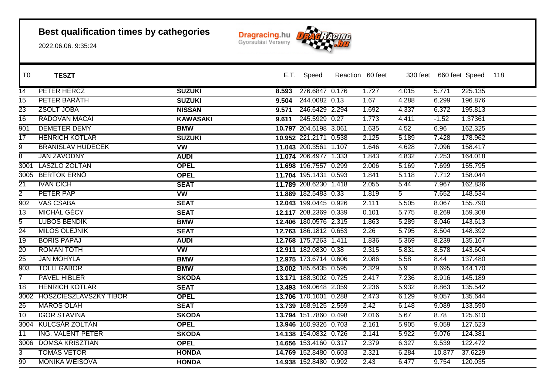

| T <sub>0</sub>  | <b>TESZT</b>                |                 |       | E.T. Speed            | Reaction 60 feet |                |         | 330 feet 660 feet Speed | 118 |
|-----------------|-----------------------------|-----------------|-------|-----------------------|------------------|----------------|---------|-------------------------|-----|
| 14              | PETER HERCZ                 | <b>SUZUKI</b>   | 8.593 | 276.6847 0.176        | 1.727            | 4.015          | 5.771   | 225.135                 |     |
| 15              | PETER BARATH                | <b>SUZUKI</b>   | 9.504 | 244.0082 0.13         | 1.67             | 4.288          | 6.299   | 196.876                 |     |
| 23              | <b>ZSOLT JOBA</b>           | <b>NISSAN</b>   | 9.571 | 246.6429 2.294        | 1.692            | 4.337          | 6.372   | 195.813                 |     |
| $\overline{16}$ | <b>RADOVAN MACAI</b>        | <b>KAWASAKI</b> | 9.611 | 245.5929 0.27         | 1.773            | 4.411          | $-1.52$ | 1.37361                 |     |
| 901             | <b>DEMETER DEMY</b>         | <b>BMW</b>      |       | 10.797 204.6198 3.061 | 1.635            | 4.52           | 6.96    | 162.325                 |     |
| $\overline{17}$ | <b>HENRICH KOTLAR</b>       | <b>SUZUKI</b>   |       | 10.952 221.2171 0.538 | 2.125            | 5.189          | 7.428   | 178.962                 |     |
| $\overline{9}$  | <b>BRANISLAV HUDECEK</b>    | <b>VW</b>       |       | 11.043 200.3561 1.107 | 1.646            | 4.628          | 7.096   | 158.417                 |     |
| $\overline{8}$  | <b>JAN ZAVODNY</b>          | <b>AUDI</b>     |       | 11.074 206.4977 1.333 | 1.843            | 4.832          | 7.253   | 164.018                 |     |
| 3001            | <b>LASZLO ZOLTAN</b>        | <b>OPEL</b>     |       | 11.698 196.7557 0.299 | 2.006            | 5.169          | 7.699   | 155.795                 |     |
|                 | 3005 BERTOK ERNO            | <b>OPEL</b>     |       | 11.704 195.1431 0.593 | 1.841            | 5.118          | 7.712   | 158.044                 |     |
| $\overline{21}$ | <b>IVAN CICH</b>            | <b>SEAT</b>     |       | 11.789 208.6230 1.418 | 2.055            | 5.44           | 7.967   | 162.836                 |     |
| $\overline{2}$  | PETER PAP                   | <b>VW</b>       |       | 11.889 182.5483 0.33  | 1.819            | 5 <sup>5</sup> | 7.652   | 148.534                 |     |
| 902             | <b>VAS CSABA</b>            | <b>SEAT</b>     |       | 12.043 199.0445 0.926 | 2.111            | 5.505          | 8.067   | 155.790                 |     |
| $\overline{13}$ | <b>MICHAL GECY</b>          | <b>SEAT</b>     |       | 12.117 208.2369 0.339 | 0.101            | 5.775          | 8.269   | 159.308                 |     |
| $\overline{5}$  | <b>LUBOS BENDIK</b>         | <b>BMW</b>      |       | 12.406 180.0576 2.315 | 1.863            | 5.289          | 8.046   | 143.613                 |     |
| $\overline{24}$ | <b>MILOS OLEJNIK</b>        | <b>SEAT</b>     |       | 12.763 186.1812 0.653 | 2.26             | 5.795          | 8.504   | 148.392                 |     |
| $\overline{19}$ | <b>BORIS PAPAJ</b>          | <b>AUDI</b>     |       | 12.768 175.7263 1.411 | 1.836            | 5.369          | 8.239   | 135.167                 |     |
| $\overline{20}$ | <b>ROMAN TOTH</b>           | <b>VW</b>       |       | 12.911 182.0830 0.38  | 2.315            | 5.831          | 8.578   | 143.604                 |     |
| $\overline{25}$ | <b>JAN MOHYLA</b>           | <b>BMW</b>      |       | 12.975 173.6714 0.606 | 2.086            | 5.58           | 8.44    | 137.480                 |     |
| 903             | <b>TOLLI GABOR</b>          | <b>BMW</b>      |       | 13.002 185.6435 0.595 | 2.329            | 5.9            | 8.695   | 144.170                 |     |
| 7               | <b>PAVEL HIBLER</b>         | <b>SKODA</b>    |       | 13.171 188.3002 0.725 | 2.417            | 7.236          | 8.916   | 145.189                 |     |
| $\overline{18}$ | <b>HENRICH KOTLÁR</b>       | <b>SEAT</b>     |       | 13.493 169.0648 2.059 | 2.236            | 5.932          | 8.863   | 135.542                 |     |
|                 | 3002 HOSZCIESZLAVSZKY TIBOR | <b>OPEL</b>     |       | 13.706 170.1001 0.288 | 2.473            | 6.129          | 9.057   | 135.644                 |     |
| $\overline{26}$ | <b>MAROS OLAH</b>           | <b>SEAT</b>     |       | 13.739 168.9125 2.559 | 2.42             | 6.148          | 9.089   | 133.590                 |     |
| 10              | <b>IGOR STAVINA</b>         | <b>SKODA</b>    |       | 13.794 151.7860 0.498 | 2.016            | 5.67           | 8.78    | 125.610                 |     |
|                 | 3004 KULCSÁR ZOLTÁN         | <b>OPEL</b>     |       | 13.946 160.9326 0.703 | 2.161            | 5.905          | 9.059   | 127.623                 |     |
| $\overline{11}$ | ING. VALENT PETER           | <b>SKODA</b>    |       | 14.138 154.0832 0.726 | 2.141            | 5.922          | 9.076   | 124.381                 |     |
|                 | 3006 DOMSA KRISZTIAN        | <b>OPEL</b>     |       | 14.656 153.4160 0.317 | 2.379            | 6.327          | 9.539   | 122.472                 |     |
| 3               | <b>TOMAS VETOR</b>          | <b>HONDA</b>    |       | 14.769 152.8480 0.603 | 2.321            | 6.284          | 10.877  | 37.6229                 |     |
| 99              | <b>MONIKA WEISOVA</b>       | <b>HONDA</b>    |       | 14.938 152.8480 0.992 | 2.43             | 6.477          | 9.754   | 120.035                 |     |